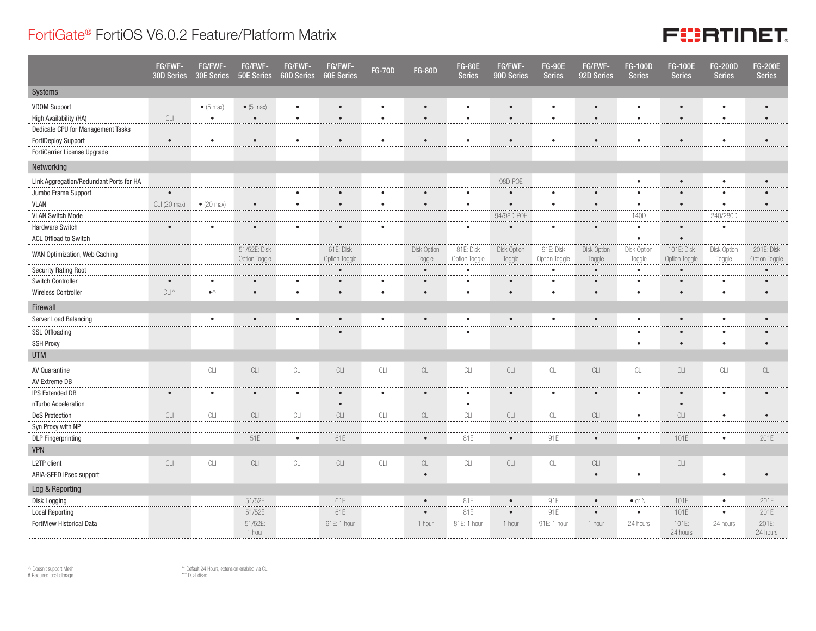## FortiGate® FortiOS V6.0.2 Feature/Platform Matrix



|                                         | FG/FWF-<br>30D Series | FG/FWF-<br>30E Series | FG/FWF-<br>50E Series         | FG/FWF-<br>60D Series | FG/FWF-<br><b>60E Series</b> | <b>FG-70D</b> | <b>FG-80D</b>         | <b>FG-80E</b><br><b>Series</b> | FG/FWF-<br>90D Series | <b>FG-90E</b><br><b>Series</b> | FG/FWF-<br>92D Series | <b>FG-100D</b><br><b>Series</b> | <b>FG-100E</b><br><b>Series</b> | <b>FG-200D</b><br><b>Series</b> | <b>FG-200E</b><br><b>Series</b> |
|-----------------------------------------|-----------------------|-----------------------|-------------------------------|-----------------------|------------------------------|---------------|-----------------------|--------------------------------|-----------------------|--------------------------------|-----------------------|---------------------------------|---------------------------------|---------------------------------|---------------------------------|
| Systems                                 |                       |                       |                               |                       |                              |               |                       |                                |                       |                                |                       |                                 |                                 |                                 |                                 |
| <b>VDOM Support</b>                     |                       | $\bullet$ (5 max)     | $\bullet$ (5 max)             | $\bullet$             |                              | $\bullet$     |                       | ٠                              | $\bullet$             | ٠                              | $\bullet$             | $\bullet$                       | $\bullet$                       | $\bullet$                       | $\bullet$                       |
| High Availability (HA)                  | CLI                   | $\bullet$             | $\bullet$                     | $\bullet$             | $\bullet$                    | $\bullet$     | $\bullet$             | $\bullet$                      | $\bullet$             | $\bullet$                      | $\bullet$             | $\bullet$                       | $\bullet$                       | $\bullet$                       |                                 |
| Dedicate CPU for Management Tasks       |                       |                       |                               |                       |                              |               |                       |                                |                       |                                |                       |                                 |                                 |                                 |                                 |
| <b>FortiDeploy Support</b>              | $\bullet$             |                       | $\bullet$                     | ٠                     |                              |               |                       |                                |                       |                                |                       | $\bullet$                       | $\bullet$                       |                                 |                                 |
| FortiCarrier License Upgrade            |                       |                       |                               |                       |                              |               |                       |                                |                       |                                |                       |                                 |                                 |                                 |                                 |
| Networking                              |                       |                       |                               |                       |                              |               |                       |                                |                       |                                |                       |                                 |                                 |                                 |                                 |
| Link Aggregation/Redundant Ports for HA |                       |                       |                               |                       |                              |               |                       |                                | 98D-POE               |                                |                       | $\bullet$                       | $\bullet$                       | $\bullet$                       | $\bullet$                       |
| Jumbo Frame Support                     | $\bullet$             |                       |                               | ٠                     |                              | $\bullet$     |                       | ٠                              | $\bullet$             |                                | $\bullet$             | $\bullet$                       | $\bullet$                       | $\bullet$                       | $\bullet$                       |
| <b>VLAN</b>                             | CLI (20 max)          | $\bullet$ (20 max)    |                               | $\bullet$             | $\bullet$                    | $\bullet$     |                       | ٠                              | $\bullet$             |                                |                       | <br>$\bullet$<br>.              | $\bullet$                       | $\bullet$<br>.                  |                                 |
| <b>VLAN Switch Mode</b>                 |                       |                       |                               |                       |                              |               |                       |                                | 94/98D-POE            |                                |                       | 140D<br>.                       |                                 | 240/280D                        |                                 |
| <b>Hardware Switch</b>                  | $\bullet$             | $\bullet$             | $\bullet$                     | $\bullet$             | $\bullet$                    | $\bullet$     |                       | $\bullet$                      | $\bullet$             | $\bullet$                      | $\bullet$             | $\bullet$                       | $\bullet$                       | $\bullet$                       |                                 |
| ACL Offload to Switch                   |                       |                       |                               |                       |                              |               |                       |                                |                       |                                |                       | $\bullet$                       | $\bullet$                       |                                 |                                 |
| WAN Optimization, Web Caching           |                       |                       | 51/52E: Disk<br>Option Toggle |                       | 61E: Disk<br>Option Toggle   |               | Disk Option<br>Toggle | 81E: Disk<br>Option Toggle     | Disk Option<br>Toggle | 91E: Disk<br>Option Toggle     | Disk Option<br>Toggle | Disk Option<br>Toggle           | 101E: Disk<br>Option Toggle     | Disk Option<br>Toggle           | 201E: Disk<br>Option Toggle     |
| <b>Security Rating Root</b>             |                       |                       |                               |                       | $\bullet$                    |               | $\bullet$             | $\bullet$                      |                       | $\bullet$                      | $\bullet$             | $\bullet$                       | $\bullet$                       |                                 | $\bullet$                       |
| <b>Switch Controller</b>                |                       | ٠                     | $\bullet$                     | $\bullet$             | $\bullet$                    |               |                       | ٠                              |                       | $\bullet$                      |                       | $\bullet$                       | $\bullet$                       | ٠                               | $\bullet$                       |
| Wireless Controller                     | $CLI^{\wedge}$        | $\bullet^\wedge$      | $\bullet$                     | $\bullet$             | $\bullet$                    | $\bullet$     |                       | $\bullet$                      | $\bullet$             | $\bullet$                      | $\bullet$             | $\bullet$                       | $\bullet$                       | $\bullet$                       | $\bullet$                       |
| Firewall                                |                       |                       |                               |                       |                              |               |                       |                                |                       |                                |                       |                                 |                                 |                                 |                                 |
| Server Load Balancing                   |                       | $\bullet$             | $\bullet$                     | $\bullet$             |                              |               | $\bullet$             | $\bullet$                      |                       |                                | $\bullet$             | $\bullet$                       | $\bullet$                       | $\bullet$                       |                                 |
| <b>SSL Offloading</b>                   |                       |                       |                               |                       |                              |               |                       |                                |                       |                                |                       |                                 | $\bullet$                       |                                 |                                 |
| <b>SSH Proxy</b>                        |                       |                       |                               |                       |                              |               |                       |                                |                       |                                |                       |                                 | $\bullet$                       | $\bullet$                       | $\bullet$                       |
| <b>UTM</b>                              |                       |                       |                               |                       |                              |               |                       |                                |                       |                                |                       |                                 |                                 |                                 |                                 |
| AV Quarantine                           |                       | CLI                   | CLI                           | CLI                   | CLI                          | CL            | CLI                   | CLI                            | CLI                   | CLI                            | CLI                   | $\mathbb{C}\square$             | CLI                             | CLI                             | CLI                             |
| AV Extreme DB                           |                       |                       |                               |                       |                              |               |                       |                                |                       |                                |                       |                                 |                                 |                                 |                                 |
| <b>IPS Extended DB</b>                  | $\bullet$             | $\bullet$             | $\bullet$                     | $\bullet$             | $\bullet$                    | $\bullet$     | $\bullet$             | $\bullet$                      | $\bullet$             | $\bullet$                      | $\bullet$             | $\bullet$                       | $\bullet$                       | $\bullet$                       | $\bullet$                       |
| nTurbo Acceleration                     |                       |                       |                               |                       | $\bullet$                    |               |                       | $\bullet$                      |                       |                                |                       |                                 | $\bullet$                       |                                 |                                 |
| <b>DoS Protection</b>                   | CLI                   | CLI                   | CLI                           | CLI                   | CLI                          | CLI           | CLI                   | CLI                            | CLI                   | CLI                            | CLI                   | $\bullet$                       | CLI                             | $\bullet$                       |                                 |
| Syn Proxy with NP                       |                       |                       |                               |                       |                              |               |                       |                                |                       |                                |                       |                                 |                                 |                                 |                                 |
| <b>DLP</b> Fingerprinting               |                       |                       | 51E                           | $\bullet$             | 61E                          |               | $\bullet$             | 81E                            | $\bullet$             | 91E                            | $\bullet$             | $\bullet$                       | 101E                            | $\bullet$                       | 201E                            |
| <b>VPN</b>                              |                       |                       |                               |                       |                              |               |                       |                                |                       |                                |                       |                                 |                                 |                                 |                                 |
| L2TP client                             | CLI                   | CLI                   | CLI                           | CLI                   | CLI                          | CLI           | CLI                   | CLI                            | CLI                   | CLI                            | CLI                   |                                 | CLI                             |                                 |                                 |
| ARIA-SEED IPsec support                 |                       |                       |                               |                       |                              |               | $\bullet$             |                                |                       |                                | $\bullet$             | $\bullet$                       |                                 | $\bullet$                       | $\bullet$                       |
| Log & Reporting                         |                       |                       |                               |                       |                              |               |                       |                                |                       |                                |                       |                                 |                                 |                                 |                                 |
| Disk Logging                            |                       |                       | 51/52E                        |                       | 61E                          |               | $\bullet$             | 81E                            | $\bullet$             | 91E                            | $\bullet$             | $\bullet$ or Nil                | 101E                            | $\bullet$                       | 201E                            |
| <b>Local Reporting</b>                  |                       |                       | 51/52E                        |                       | 61E                          |               |                       | 81E                            | $\bullet$             | 91E                            |                       | $\bullet$                       | 101E                            | $\bullet$                       | 201E                            |
| FortiView Historical Data               |                       |                       | 51/52E:<br>1 hour             |                       | 61E: 1 hour                  |               | 1 hour                | 81E: 1 hour                    | 1 hour                | 91E: 1 hour                    | 1 hour                | 24 hours                        | 101E:<br>24 hours               | 24 hours                        | 201E:<br>24 hours               |

 $\land$  Doesn't support Mesh # Requires local storage

\*\* Default 24 Hours, extension enabled via CLI \*\*\* Dual disks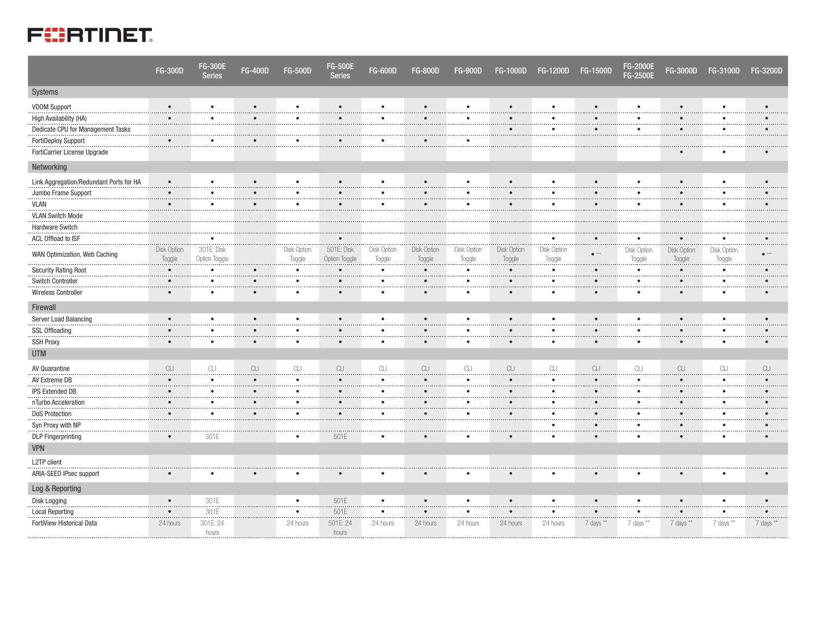

|                                         | <b>FG-300D</b>        | <b>FG-300E</b><br><b>Series</b> | <b>FG-400D</b>             | <b>FG-500D</b>             | <b>FG-500E</b><br><b>Series</b> | <b>FG-600D</b>        | <b>FG-800D</b>         | <b>FG-900D</b>               | <b>FG-1000D</b>       | <b>FG-1200D</b>                                                                              | <b>FG-1500D</b>  | <b>FG-2000E</b><br><b>FG-2500E</b> | FG-3000D                                                                                     | FG-3100D              | <b>FG-3200D</b> |
|-----------------------------------------|-----------------------|---------------------------------|----------------------------|----------------------------|---------------------------------|-----------------------|------------------------|------------------------------|-----------------------|----------------------------------------------------------------------------------------------|------------------|------------------------------------|----------------------------------------------------------------------------------------------|-----------------------|-----------------|
| Systems                                 |                       |                                 |                            |                            |                                 |                       |                        |                              |                       |                                                                                              |                  |                                    |                                                                                              |                       |                 |
| <b>VDOM Support</b>                     | $\bullet$             | $\bullet$                       | $\bullet$                  | $\bullet$                  | $\bullet$                       | $\bullet$             | $\bullet$              | $\bullet$                    | $\bullet$             | $\bullet$                                                                                    | $\bullet$        | $\bullet$                          | $\bullet$                                                                                    | $\bullet$             | $\bullet$       |
| High Availability (HA)                  | $\bullet$             | $\bullet$                       | $\bullet$                  | $\bullet$                  | $\bullet$                       | $\bullet$             | $\bullet$              | $\bullet$                    | $\bullet$             | $\bullet$                                                                                    | $\bullet$        | $\bullet$                          | $\bullet$                                                                                    | $\bullet$             | $\bullet$       |
| Dedicate CPU for Management Tasks       |                       |                                 |                            |                            |                                 |                       |                        |                              | $\bullet$             | $\bullet$                                                                                    | $\bullet$        | $\bullet$                          | $\bullet$                                                                                    | $\bullet$             | $\bullet$       |
| FortiDeploy Support                     | $\bullet$             | $\bullet$                       | $\bullet$                  | $\bullet$                  | $\bullet$                       | $\bullet$             | $\bullet$              | $\bullet$                    |                       |                                                                                              |                  |                                    |                                                                                              |                       |                 |
| FortiCarrier License Upgrade            |                       |                                 |                            |                            |                                 |                       |                        |                              |                       |                                                                                              |                  |                                    |                                                                                              |                       |                 |
| Networking                              |                       |                                 |                            |                            |                                 |                       |                        |                              |                       |                                                                                              |                  |                                    |                                                                                              |                       |                 |
| Link Aggregation/Redundant Ports for HA | $\bullet$             | $\bullet$                       | $\bullet$                  | $\bullet$                  | $\bullet$                       | $\bullet$             | $\bullet$              | $\bullet$                    | $\bullet$             | $\bullet$                                                                                    | $\bullet$        | $\bullet$                          | $\bullet$                                                                                    | $\bullet$             |                 |
| Jumbo Frame Support                     | $\bullet$             | .<br>$\bullet$                  | $\bullet$                  | $\cdots$<br>$\bullet$      | $\bullet$                       | $\bullet$             | $\bullet$              | $\bullet$                    | $\bullet$             | ٠                                                                                            | $\bullet$        | .<br>$\bullet$                     | $\bullet$                                                                                    | $\bullet$             |                 |
| <b>VLAN</b>                             | $\bullet$             | $\bullet$                       | $\bullet$                  | $\bullet$                  | $\bullet$                       | $\bullet$             | $\bullet$              | $\bullet$                    | $\bullet$             | $\bullet$                                                                                    | $\bullet$        | $\bullet$                          | $\bullet$                                                                                    | $\bullet$             |                 |
| <b>VLAN Switch Mode</b>                 |                       |                                 |                            |                            |                                 |                       |                        |                              |                       |                                                                                              |                  |                                    |                                                                                              |                       |                 |
| Hardware Switch                         |                       |                                 |                            |                            |                                 |                       |                        |                              |                       |                                                                                              |                  |                                    |                                                                                              |                       |                 |
| ACL Offload to ISF                      |                       | $\bullet$<br>.                  |                            |                            | $\bullet$                       |                       |                        |                              |                       | ٠<br>.                                                                                       |                  |                                    |                                                                                              | ٠<br>.                |                 |
| WAN Optimization, Web Caching           | Disk Option<br>Toggle | 301E: Disk<br>Option Toggle     |                            | Disk Option<br>Toggle      | 501E: Disk<br>Option Toggle     | Disk Option<br>Toggle | Disk Option<br>Toggle  | <b>Disk Option</b><br>Toggle | Disk Option<br>Toggle | Disk Option<br>Toggle                                                                        | $e^{-\lambda x}$ | Disk Option<br>Toggle              | <b>Disk Option</b><br>Toggle                                                                 | Disk Option<br>Toggle |                 |
| <b>Security Rating Root</b>             | $\bullet$             | $\bullet$                       | $\bullet$                  | $\bullet$<br>.             | $\bullet$                       | $\bullet$             | $\bullet$              | $\bullet$                    | $\bullet$             | $\bullet$                                                                                    | $\bullet$        | $\bullet$<br>                      | $\bullet$                                                                                    | $\bullet$             |                 |
| <b>Switch Controller</b>                | $\bullet$             | $\bullet$<br>                   | $\bullet$                  | $\bullet$                  | $\bullet$                       | $\bullet$             | $\bullet$              | $\bullet$                    | $\bullet$             | ٠                                                                                            | $\bullet$        | $\bullet$<br>                      | $\bullet$                                                                                    | $\bullet$             |                 |
| <b>Wireless Controller</b>              | $\bullet$             | $\bullet$                       | $\bullet$                  | $\bullet$                  | $\bullet$                       |                       | $\bullet$              | $\bullet$                    | $\bullet$             | $\bullet$                                                                                    | $\bullet$        | $\bullet$                          | $\bullet$                                                                                    | $\bullet$             |                 |
| Firewall                                |                       |                                 |                            |                            |                                 |                       |                        |                              |                       |                                                                                              |                  |                                    |                                                                                              |                       |                 |
| Server Load Balancing                   | $\bullet$             | $\bullet$                       | $\bullet$                  | $\bullet$                  | $\bullet$                       | $\bullet$             | $\bullet$              | $\bullet$                    | $\bullet$             | $\bullet$                                                                                    | $\bullet$        | $\bullet$                          | $\bullet$                                                                                    | $\bullet$             | $\bullet$       |
| <b>SSL Offloading</b>                   | $\bullet$             | $\bullet$                       | $\bullet$                  | $\bullet$                  | $\bullet$                       | $\bullet$             | $\bullet$              | $\bullet$                    | $\bullet$             | $\bullet$                                                                                    | $\bullet$        | $\bullet$                          | $\bullet$                                                                                    | $\bullet$             | $\bullet$       |
| <b>SSH Proxy</b>                        | $\bullet$             | $\bullet$                       | $\bullet$                  | $\bullet$                  | $\bullet$                       | $\bullet$             | $\bullet$              | $\bullet$                    | $\bullet$             | $\bullet$                                                                                    | $\bullet$        | $\bullet$                          | $\bullet$                                                                                    | $\bullet$             | $\bullet$       |
| <b>UTM</b>                              |                       |                                 |                            |                            |                                 |                       |                        |                              |                       |                                                                                              |                  |                                    |                                                                                              |                       |                 |
| AV Quarantine                           | CLI                   | $\ensuremath{\text{CL}}$        | $\ensuremath{\mathsf{CL}}$ | $\ensuremath{\textrm{CL}}$ | CLI                             | $\mathbb{C}\square$   | CLI                    | CLI                          | CLI                   | $\ensuremath{\mathbb{C}}\xspace\ensuremath{\mathbb{L}}\xspace\ensuremath{\mathbb{L}}\xspace$ | CLI              | $\ensuremath{\textrm{CL}}$         | $\ensuremath{\mathbb{C}}\xspace\ensuremath{\mathbb{L}}\xspace\ensuremath{\mathbb{L}}\xspace$ | CLI                   | CLI             |
| AV Extreme DB                           | $\bullet$             | $\bullet$                       | $\bullet$                  | $\bullet$                  | $\bullet$                       | $\bullet$             | $\bullet$              | $\bullet$                    | $\bullet$             | $\bullet$                                                                                    | $\bullet$        | $\bullet$                          | $\bullet$                                                                                    | $\bullet$             |                 |
| <b>IPS Extended DB</b>                  | $\bullet$             | $\bullet$<br>                   | $\bullet$                  | $\bullet$<br>              | $\bullet$                       | $\bullet$             | $\bullet$              | $\bullet$                    | $\bullet$             | $\bullet$<br>.                                                                               | $\bullet$        | $\bullet$<br>.                     | $\bullet$                                                                                    | ٠<br>.                |                 |
| nTurbo Acceleration                     | $\bullet$<br>.        | $\bullet$<br>.                  | $\bullet$<br>.             | $\bullet$<br>.             | $\bullet$                       | $\bullet$<br>.        | $\bullet$<br>$- - - -$ | $\bullet$<br>                | $\bullet$             | ٠<br>.                                                                                       | $\bullet$<br>    | $\bullet$<br>                      | $\bullet$                                                                                    | $\bullet$             |                 |
| <b>DoS Protection</b>                   | $\bullet$             | $\bullet$                       | $\bullet$                  | $\bullet$                  | $\bullet$                       | $\bullet$             | $\bullet$              | ٠                            | $\bullet$             | ٠                                                                                            | $\bullet$        | $\bullet$<br>                      | $\bullet$                                                                                    | ٠                     |                 |
| Syn Proxy with NP                       |                       |                                 |                            |                            |                                 |                       |                        |                              |                       | $\bullet$                                                                                    | $\bullet$        |                                    |                                                                                              | $\bullet$             | $\bullet$       |
| <b>DLP</b> Fingerprinting               | $\bullet$             | 301E                            |                            | $\bullet$                  | 501E                            |                       |                        | ٠                            |                       | $\bullet$                                                                                    | $\bullet$        | $\bullet$                          | $\bullet$                                                                                    | ٠                     | $\bullet$       |
| <b>VPN</b>                              |                       |                                 |                            |                            |                                 |                       |                        |                              |                       |                                                                                              |                  |                                    |                                                                                              |                       |                 |
| L2TP client                             |                       |                                 |                            |                            |                                 |                       |                        |                              |                       |                                                                                              |                  |                                    |                                                                                              |                       |                 |
| ARIA-SEED IPsec support                 | $\bullet$             | $\bullet$                       |                            | $\bullet$                  | $\bullet$                       |                       |                        |                              |                       |                                                                                              | $\bullet$        |                                    | $\bullet$                                                                                    | ٠                     |                 |
| Log & Reporting                         |                       |                                 |                            |                            |                                 |                       |                        |                              |                       |                                                                                              |                  |                                    |                                                                                              |                       |                 |
| Disk Logging                            | $\bullet$             | 301E                            |                            | $\bullet$                  | 501E                            | $\bullet$             | $\bullet$              | $\bullet$                    | $\bullet$             | $\bullet$                                                                                    | $\bullet$        | $\bullet$                          | $\bullet$                                                                                    | $\bullet$             |                 |
| <b>Local Reporting</b>                  | $\bullet$             | 301E                            |                            | $\bullet$                  | 501E                            | $\bullet$             | $\bullet$              | $\bullet$                    | $\bullet$             | ٠                                                                                            |                  | $\bullet$                          | $\bullet$                                                                                    | $\bullet$             |                 |
| FortiView Historical Data               | 24 hours              | 301E: 24<br>hours               |                            | 24 hours                   | 501E: 24<br>hours               | 24 hours              | 24 hours               | 24 hours                     | 24 hours              | 24 hours                                                                                     | 7 days **        | 7 days **                          | 7 days **                                                                                    | 7 days **             | 7 days **       |